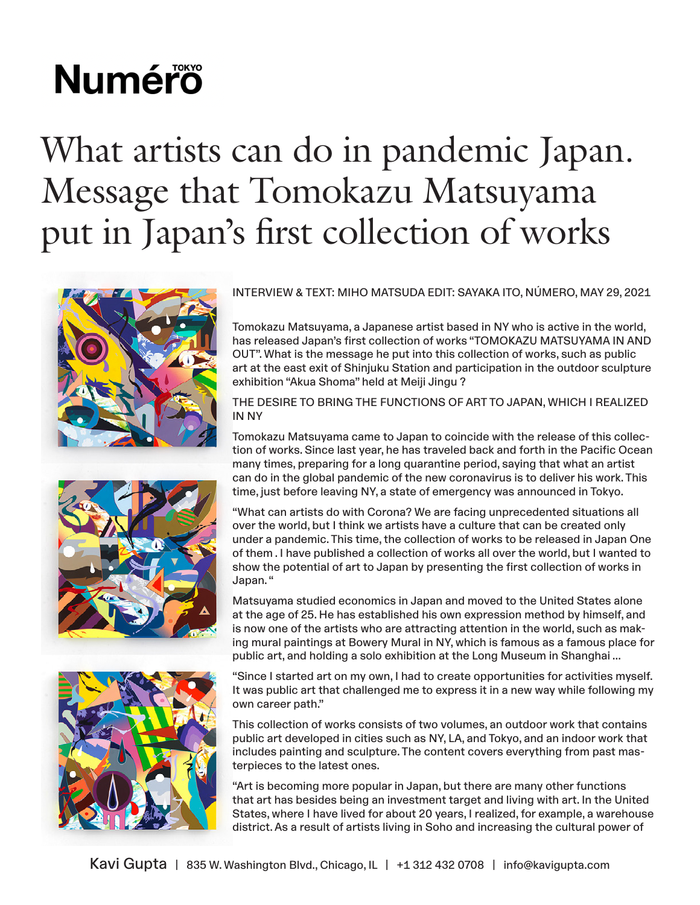# **Numéro**

## What artists can do in pandemic Japan. Message that Tomokazu Matsuyama put in Japan's first collection of works







#### INTERVIEW & TEXT: MIHO MATSUDA EDIT: SAYAKA ITO, NÚMERO, MAY 29, 2021

Tomokazu Matsuyama, a Japanese artist based in NY who is active in the world, has released Japan's first collection of works "TOMOKAZU MATSUYAMA IN AND OUT". What is the message he put into this collection of works, such as public art at the east exit of Shinjuku Station and participation in the outdoor sculpture exhibition "Akua Shoma" held at Meiji Jingu ?

THE DESIRE TO BRING THE FUNCTIONS OF ART TO JAPAN, WHICH I REALIZED IN NY

Tomokazu Matsuyama came to Japan to coincide with the release of this collection of works. Since last year, he has traveled back and forth in the Pacific Ocean many times, preparing for a long quarantine period, saying that what an artist can do in the global pandemic of the new coronavirus is to deliver his work. This time, just before leaving NY, a state of emergency was announced in Tokyo.

"What can artists do with Corona? We are facing unprecedented situations all over the world, but I think we artists have a culture that can be created only under a pandemic. This time, the collection of works to be released in Japan One of them . I have published a collection of works all over the world, but I wanted to show the potential of art to Japan by presenting the first collection of works in Japan. "

Matsuyama studied economics in Japan and moved to the United States alone at the age of 25. He has established his own expression method by himself, and is now one of the artists who are attracting attention in the world, such as making mural paintings at Bowery Mural in NY, which is famous as a famous place for public art, and holding a solo exhibition at the Long Museum in Shanghai ...

"Since I started art on my own, I had to create opportunities for activities myself. It was public art that challenged me to express it in a new way while following my own career path."

This collection of works consists of two volumes, an outdoor work that contains public art developed in cities such as NY, LA, and Tokyo, and an indoor work that includes painting and sculpture. The content covers everything from past masterpieces to the latest ones.

"Art is becoming more popular in Japan, but there are many other functions that art has besides being an investment target and living with art. In the United States, where I have lived for about 20 years, I realized, for example, a warehouse district. As a result of artists living in Soho and increasing the cultural power of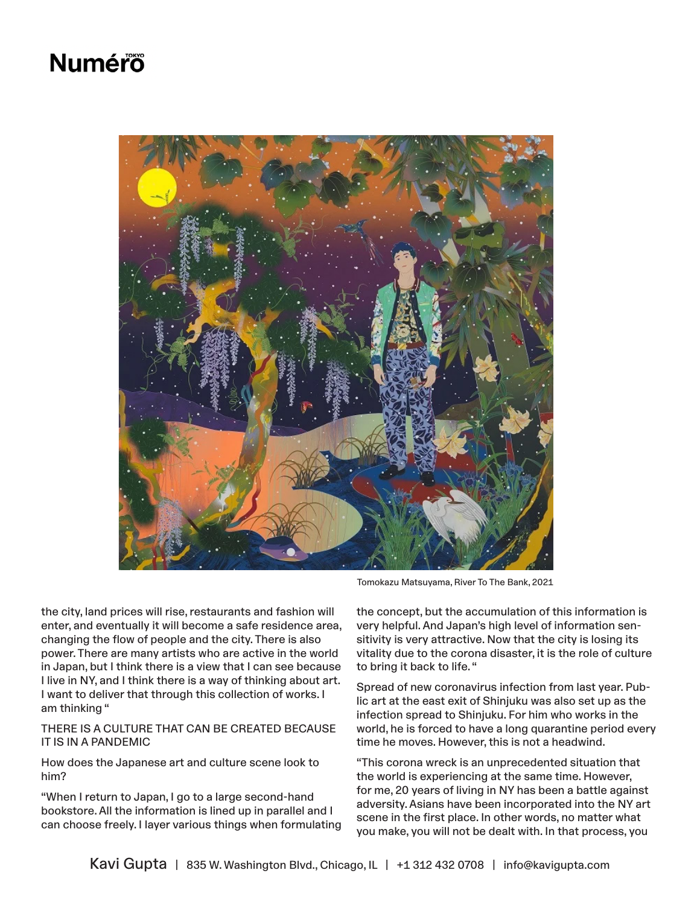### **Numéro**



Tomokazu Matsuyama, River To The Bank, 2021

the city, land prices will rise, restaurants and fashion will enter, and eventually it will become a safe residence area, changing the flow of people and the city. There is also power. There are many artists who are active in the world in Japan, but I think there is a view that I can see because I live in NY, and I think there is a way of thinking about art. I want to deliver that through this collection of works. I am thinking "

#### THERE IS A CULTURE THAT CAN BE CREATED BECAUSE IT IS IN A PANDEMIC

How does the Japanese art and culture scene look to him?

"When I return to Japan, I go to a large second-hand bookstore. All the information is lined up in parallel and I can choose freely. I layer various things when formulating

the concept, but the accumulation of this information is very helpful. And Japan's high level of information sensitivity is very attractive. Now that the city is losing its vitality due to the corona disaster, it is the role of culture to bring it back to life. "

Spread of new coronavirus infection from last year. Public art at the east exit of Shinjuku was also set up as the infection spread to Shinjuku. For him who works in the world, he is forced to have a long quarantine period every time he moves. However, this is not a headwind.

"This corona wreck is an unprecedented situation that the world is experiencing at the same time. However, for me, 20 years of living in NY has been a battle against adversity. Asians have been incorporated into the NY art scene in the first place. In other words, no matter what you make, you will not be dealt with. In that process, you